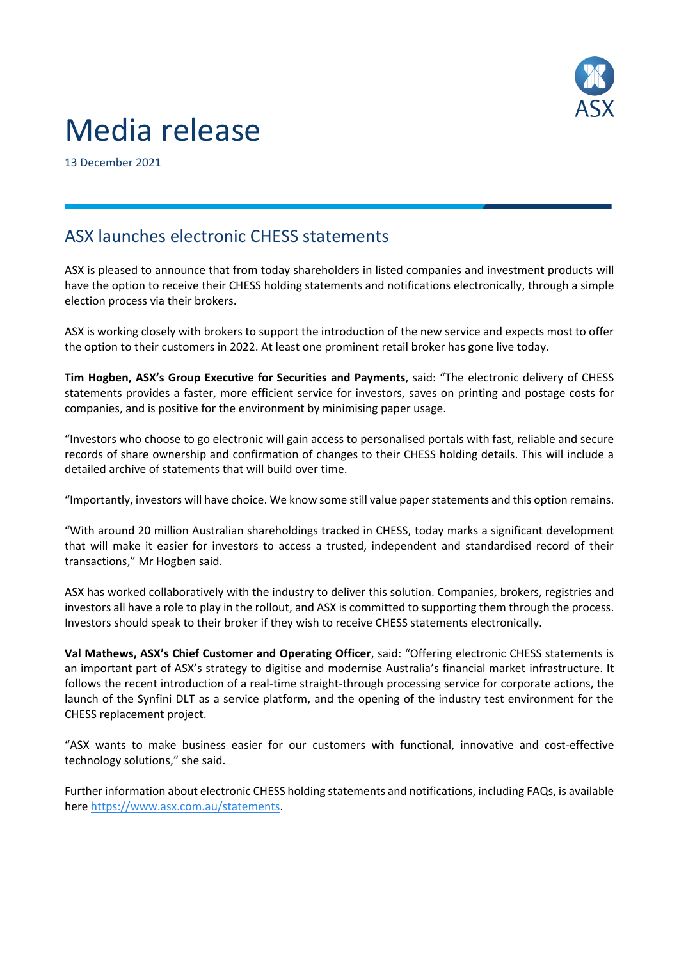

# Media release

13 December 2021

## ASX launches electronic CHESS statements

ASX is pleased to announce that from today shareholders in listed companies and investment products will have the option to receive their CHESS holding statements and notifications electronically, through a simple election process via their brokers.

ASX is working closely with brokers to support the introduction of the new service and expects most to offer the option to their customers in 2022. At least one prominent retail broker has gone live today.

**Tim Hogben, ASX's Group Executive for Securities and Payments**, said: "The electronic delivery of CHESS statements provides a faster, more efficient service for investors, saves on printing and postage costs for companies, and is positive for the environment by minimising paper usage.

"Investors who choose to go electronic will gain access to personalised portals with fast, reliable and secure records of share ownership and confirmation of changes to their CHESS holding details. This will include a detailed archive of statements that will build over time.

"Importantly, investors will have choice. We know some still value paper statements and this option remains.

"With around 20 million Australian shareholdings tracked in CHESS, today marks a significant development that will make it easier for investors to access a trusted, independent and standardised record of their transactions," Mr Hogben said.

ASX has worked collaboratively with the industry to deliver this solution. Companies, brokers, registries and investors all have a role to play in the rollout, and ASX is committed to supporting them through the process. Investors should speak to their broker if they wish to receive CHESS statements electronically.

**Val Mathews, ASX's Chief Customer and Operating Officer**, said: "Offering electronic CHESS statements is an important part of ASX's strategy to digitise and modernise Australia's financial market infrastructure. It follows the recent introduction of a real-time straight-through processing service for corporate actions, the launch of the Synfini DLT as a service platform, and the opening of the industry test environment for the CHESS replacement project.

"ASX wants to make business easier for our customers with functional, innovative and cost-effective technology solutions," she said.

Further information about electronic CHESS holding statements and notifications, including FAQs, is available her[e https://www.asx.com.au/statements.](https://www.asx.com.au/statements)